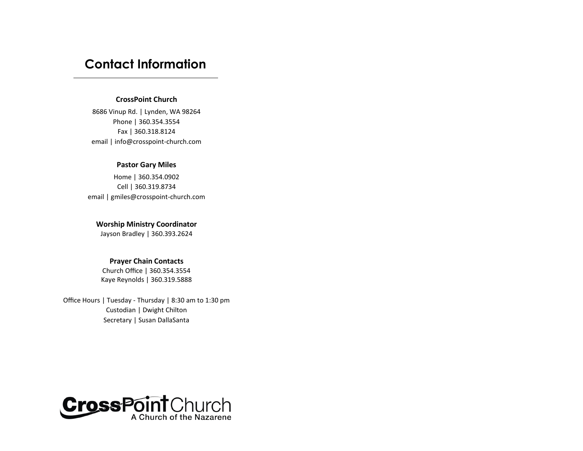# **Contact Information**

#### **CrossPoint Church**

8686 Vinup Rd. | Lynden, WA 98264 Phone | 360.354.3554 Fax | 360.318.8124 email | info@crosspoint-church.com

# **Pastor Gary Miles**

Home | 360.354.0902 Cell | 360.319.8734 email | gmiles@crosspoint-church.com

# **Worship Ministry Coordinator**

Jayson Bradley | 360.393.2624

# **Prayer Chain Contacts**

Church Office | 360.354.3554 Kaye Reynolds | 360.319.5888

Office Hours | Tuesday - Thursday | 8:30 am to 1:30 pm Custodian | Dwight Chilton Secretary | Susan DallaSanta